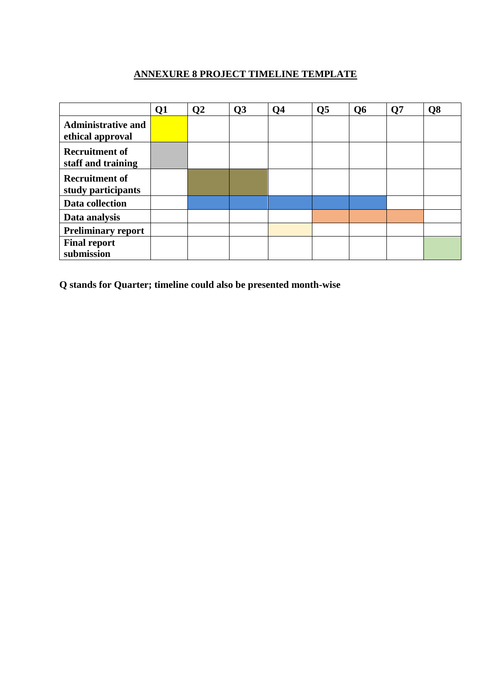## **ANNEXURE 8 PROJECT TIMELINE TEMPLATE**

|                                               | Q1 | Q <sub>2</sub> | Q3 | Q <sub>4</sub> | Q <sub>5</sub> | Q <sub>6</sub> | Q7 | Q8 |
|-----------------------------------------------|----|----------------|----|----------------|----------------|----------------|----|----|
| <b>Administrative and</b><br>ethical approval |    |                |    |                |                |                |    |    |
| <b>Recruitment of</b><br>staff and training   |    |                |    |                |                |                |    |    |
| <b>Recruitment of</b><br>study participants   |    |                |    |                |                |                |    |    |
| Data collection                               |    |                |    |                |                |                |    |    |
| Data analysis                                 |    |                |    |                |                |                |    |    |
| <b>Preliminary report</b>                     |    |                |    |                |                |                |    |    |
| <b>Final report</b><br>submission             |    |                |    |                |                |                |    |    |

**Q stands for Quarter; timeline could also be presented month-wise**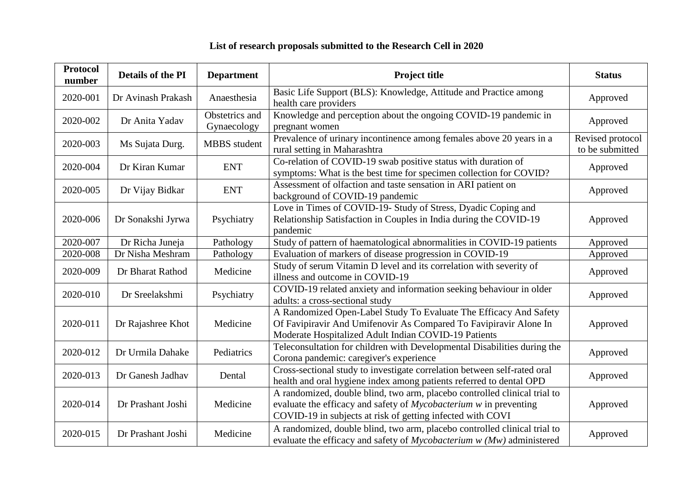| <b>Protocol</b><br>number | Details of the PI  | <b>Department</b>             | <b>Project title</b>                                                                                                                                                                                         | <b>Status</b>                       |
|---------------------------|--------------------|-------------------------------|--------------------------------------------------------------------------------------------------------------------------------------------------------------------------------------------------------------|-------------------------------------|
| 2020-001                  | Dr Avinash Prakash | Anaesthesia                   | Basic Life Support (BLS): Knowledge, Attitude and Practice among<br>health care providers                                                                                                                    | Approved                            |
| 2020-002                  | Dr Anita Yadav     | Obstetrics and<br>Gynaecology | Knowledge and perception about the ongoing COVID-19 pandemic in<br>pregnant women                                                                                                                            | Approved                            |
| 2020-003                  | Ms Sujata Durg.    | <b>MBBS</b> student           | Prevalence of urinary incontinence among females above 20 years in a<br>rural setting in Maharashtra                                                                                                         | Revised protocol<br>to be submitted |
| 2020-004                  | Dr Kiran Kumar     | <b>ENT</b>                    | Co-relation of COVID-19 swab positive status with duration of<br>symptoms: What is the best time for specimen collection for COVID?                                                                          | Approved                            |
| 2020-005                  | Dr Vijay Bidkar    | <b>ENT</b>                    | Assessment of olfaction and taste sensation in ARI patient on<br>background of COVID-19 pandemic                                                                                                             | Approved                            |
| 2020-006                  | Dr Sonakshi Jyrwa  | Psychiatry                    | Love in Times of COVID-19- Study of Stress, Dyadic Coping and<br>Relationship Satisfaction in Couples in India during the COVID-19<br>pandemic                                                               | Approved                            |
| 2020-007                  | Dr Richa Juneja    | Pathology                     | Study of pattern of haematological abnormalities in COVID-19 patients                                                                                                                                        | Approved                            |
| 2020-008                  | Dr Nisha Meshram   | Pathology                     | Evaluation of markers of disease progression in COVID-19                                                                                                                                                     | Approved                            |
| 2020-009                  | Dr Bharat Rathod   | Medicine                      | Study of serum Vitamin D level and its correlation with severity of<br>illness and outcome in COVID-19                                                                                                       | Approved                            |
| 2020-010                  | Dr Sreelakshmi     | Psychiatry                    | COVID-19 related anxiety and information seeking behaviour in older<br>adults: a cross-sectional study                                                                                                       | Approved                            |
| 2020-011                  | Dr Rajashree Khot  | Medicine                      | A Randomized Open-Label Study To Evaluate The Efficacy And Safety<br>Of Favipiravir And Umifenovir As Compared To Favipiravir Alone In<br>Moderate Hospitalized Adult Indian COVID-19 Patients               | Approved                            |
| 2020-012                  | Dr Urmila Dahake   | Pediatrics                    | Teleconsultation for children with Developmental Disabilities during the<br>Corona pandemic: caregiver's experience                                                                                          | Approved                            |
| 2020-013                  | Dr Ganesh Jadhav   | Dental                        | Cross-sectional study to investigate correlation between self-rated oral<br>health and oral hygiene index among patients referred to dental OPD                                                              | Approved                            |
| 2020-014                  | Dr Prashant Joshi  | Medicine                      | A randomized, double blind, two arm, placebo controlled clinical trial to<br>evaluate the efficacy and safety of Mycobacterium w in preventing<br>COVID-19 in subjects at risk of getting infected with COVI | Approved                            |
| 2020-015                  | Dr Prashant Joshi  | Medicine                      | A randomized, double blind, two arm, placebo controlled clinical trial to<br>evaluate the efficacy and safety of $Mycobacterium w (Mw)$ administered                                                         | Approved                            |

## **List of research proposals submitted to the Research Cell in 2020**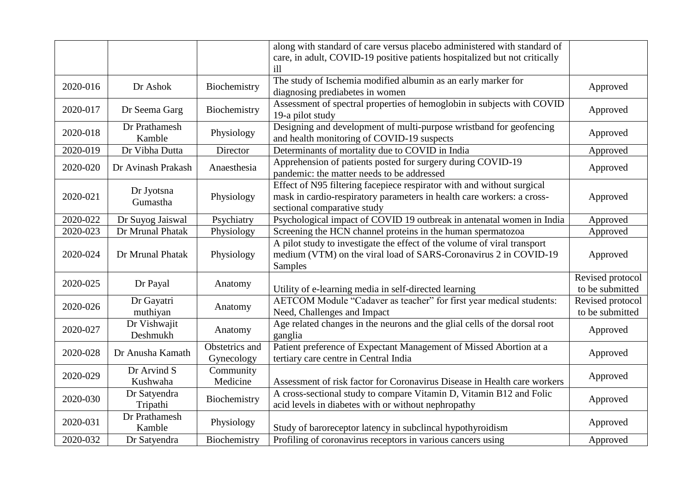|          |                    |                | along with standard of care versus placebo administered with standard of   |                  |
|----------|--------------------|----------------|----------------------------------------------------------------------------|------------------|
|          |                    |                | care, in adult, COVID-19 positive patients hospitalized but not critically |                  |
|          |                    |                | ill                                                                        |                  |
|          |                    |                | The study of Ischemia modified albumin as an early marker for              |                  |
| 2020-016 | Dr Ashok           | Biochemistry   | diagnosing prediabetes in women                                            | Approved         |
|          |                    |                | Assessment of spectral properties of hemoglobin in subjects with COVID     |                  |
| 2020-017 | Dr Seema Garg      | Biochemistry   | 19-a pilot study                                                           | Approved         |
|          | Dr Prathamesh      |                | Designing and development of multi-purpose wristband for geofencing        |                  |
| 2020-018 | Kamble             | Physiology     | and health monitoring of COVID-19 suspects                                 | Approved         |
| 2020-019 | Dr Vibha Dutta     | Director       | Determinants of mortality due to COVID in India                            | Approved         |
| 2020-020 | Dr Avinash Prakash | Anaesthesia    | Apprehension of patients posted for surgery during COVID-19                | Approved         |
|          |                    |                | pandemic: the matter needs to be addressed                                 |                  |
|          | Dr Jyotsna         |                | Effect of N95 filtering facepiece respirator with and without surgical     |                  |
| 2020-021 | Gumastha           | Physiology     | mask in cardio-respiratory parameters in health care workers: a cross-     | Approved         |
|          |                    |                | sectional comparative study                                                |                  |
| 2020-022 | Dr Suyog Jaiswal   | Psychiatry     | Psychological impact of COVID 19 outbreak in antenatal women in India      | Approved         |
| 2020-023 | Dr Mrunal Phatak   | Physiology     | Screening the HCN channel proteins in the human spermatozoa                | Approved         |
|          |                    |                | A pilot study to investigate the effect of the volume of viral transport   |                  |
| 2020-024 | Dr Mrunal Phatak   | Physiology     | medium (VTM) on the viral load of SARS-Coronavirus 2 in COVID-19           | Approved         |
|          |                    |                | Samples                                                                    |                  |
| 2020-025 | Dr Payal           | Anatomy        |                                                                            | Revised protocol |
|          |                    |                | Utility of e-learning media in self-directed learning                      | to be submitted  |
| 2020-026 | Dr Gayatri         | Anatomy        | AETCOM Module "Cadaver as teacher" for first year medical students:        | Revised protocol |
|          | muthiyan           |                | Need, Challenges and Impact                                                | to be submitted  |
| 2020-027 | Dr Vishwajit       | Anatomy        | Age related changes in the neurons and the glial cells of the dorsal root  | Approved         |
|          | Deshmukh           |                | ganglia                                                                    |                  |
| 2020-028 | Dr Anusha Kamath   | Obstetrics and | Patient preference of Expectant Management of Missed Abortion at a         | Approved         |
|          |                    | Gynecology     | tertiary care centre in Central India                                      |                  |
| 2020-029 | Dr Arvind S        | Community      |                                                                            | Approved         |
|          | Kushwaha           | Medicine       | Assessment of risk factor for Coronavirus Disease in Health care workers   |                  |
| 2020-030 | Dr Satyendra       | Biochemistry   | A cross-sectional study to compare Vitamin D, Vitamin B12 and Folic        | Approved         |
| Tripathi |                    |                | acid levels in diabetes with or without nephropathy                        |                  |
| 2020-031 | Dr Prathamesh      | Physiology     |                                                                            | Approved         |
|          | Kamble             |                | Study of baroreceptor latency in subclincal hypothyroidism                 |                  |
| 2020-032 | Dr Satyendra       | Biochemistry   | Profiling of coronavirus receptors in various cancers using                | Approved         |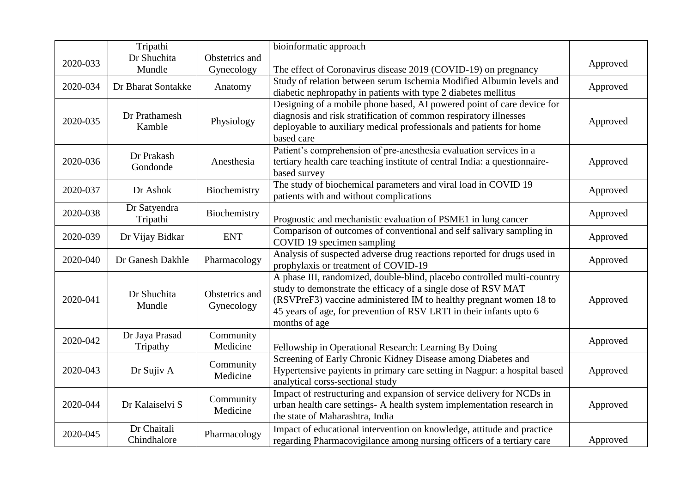|          | Tripathi                   |                              | bioinformatic approach                                                                                                                                                                                                                                                                                 |          |
|----------|----------------------------|------------------------------|--------------------------------------------------------------------------------------------------------------------------------------------------------------------------------------------------------------------------------------------------------------------------------------------------------|----------|
| 2020-033 | Dr Shuchita<br>Mundle      | Obstetrics and<br>Gynecology | The effect of Coronavirus disease 2019 (COVID-19) on pregnancy                                                                                                                                                                                                                                         | Approved |
| 2020-034 | Dr Bharat Sontakke         | Anatomy                      | Study of relation between serum Ischemia Modified Albumin levels and<br>diabetic nephropathy in patients with type 2 diabetes mellitus                                                                                                                                                                 | Approved |
| 2020-035 | Dr Prathamesh<br>Kamble    | Physiology                   | Designing of a mobile phone based, AI powered point of care device for<br>diagnosis and risk stratification of common respiratory illnesses<br>deployable to auxiliary medical professionals and patients for home<br>based care                                                                       | Approved |
| 2020-036 | Dr Prakash<br>Gondonde     | Anesthesia                   | Patient's comprehension of pre-anesthesia evaluation services in a<br>tertiary health care teaching institute of central India: a questionnaire-<br>based survey                                                                                                                                       | Approved |
| 2020-037 | Dr Ashok                   | Biochemistry                 | The study of biochemical parameters and viral load in COVID 19<br>patients with and without complications                                                                                                                                                                                              | Approved |
| 2020-038 | Dr Satyendra<br>Tripathi   | Biochemistry                 | Prognostic and mechanistic evaluation of PSME1 in lung cancer                                                                                                                                                                                                                                          | Approved |
| 2020-039 | Dr Vijay Bidkar            | <b>ENT</b>                   | Comparison of outcomes of conventional and self salivary sampling in<br>COVID 19 specimen sampling                                                                                                                                                                                                     | Approved |
| 2020-040 | Dr Ganesh Dakhle           | Pharmacology                 | Analysis of suspected adverse drug reactions reported for drugs used in<br>prophylaxis or treatment of COVID-19                                                                                                                                                                                        | Approved |
| 2020-041 | Dr Shuchita<br>Mundle      | Obstetrics and<br>Gynecology | A phase III, randomized, double-blind, placebo controlled multi-country<br>study to demonstrate the efficacy of a single dose of RSV MAT<br>(RSVPreF3) vaccine administered IM to healthy pregnant women 18 to<br>45 years of age, for prevention of RSV LRTI in their infants upto 6<br>months of age | Approved |
| 2020-042 | Dr Jaya Prasad<br>Tripathy | Community<br>Medicine        | Fellowship in Operational Research: Learning By Doing                                                                                                                                                                                                                                                  | Approved |
| 2020-043 | Dr Sujiv A                 | Community<br>Medicine        | Screening of Early Chronic Kidney Disease among Diabetes and<br>Hypertensive payients in primary care setting in Nagpur: a hospital based<br>analytical corss-sectional study                                                                                                                          | Approved |
| 2020-044 | Dr Kalaiselvi S            | Community<br>Medicine        | Impact of restructuring and expansion of service delivery for NCDs in<br>urban health care settings- A health system implementation research in<br>the state of Maharashtra, India                                                                                                                     | Approved |
| 2020-045 | Dr Chaitali<br>Chindhalore | Pharmacology                 | Impact of educational intervention on knowledge, attitude and practice<br>regarding Pharmacovigilance among nursing officers of a tertiary care                                                                                                                                                        | Approved |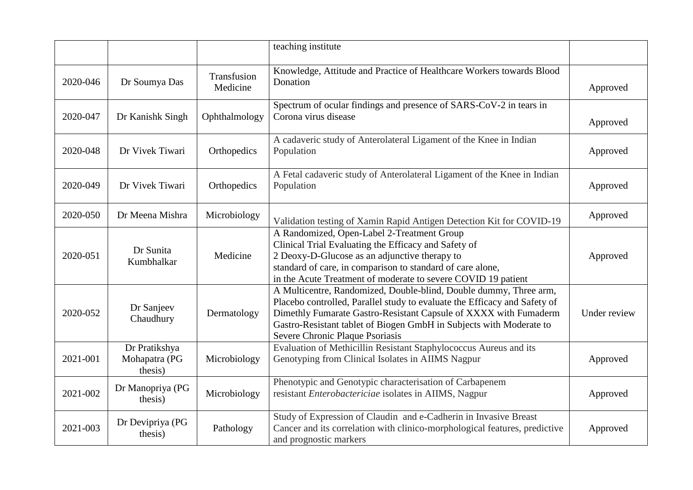|          |                                           |                         | teaching institute                                                                                                                                                                                                                                                                                                           |              |
|----------|-------------------------------------------|-------------------------|------------------------------------------------------------------------------------------------------------------------------------------------------------------------------------------------------------------------------------------------------------------------------------------------------------------------------|--------------|
| 2020-046 | Dr Soumya Das                             | Transfusion<br>Medicine | Knowledge, Attitude and Practice of Healthcare Workers towards Blood<br>Donation                                                                                                                                                                                                                                             | Approved     |
| 2020-047 | Dr Kanishk Singh                          | Ophthalmology           | Spectrum of ocular findings and presence of SARS-CoV-2 in tears in<br>Corona virus disease                                                                                                                                                                                                                                   | Approved     |
| 2020-048 | Dr Vivek Tiwari                           | Orthopedics             | A cadaveric study of Anterolateral Ligament of the Knee in Indian<br>Population                                                                                                                                                                                                                                              | Approved     |
| 2020-049 | Dr Vivek Tiwari                           | Orthopedics             | A Fetal cadaveric study of Anterolateral Ligament of the Knee in Indian<br>Population                                                                                                                                                                                                                                        | Approved     |
| 2020-050 | Dr Meena Mishra                           | Microbiology            | Validation testing of Xamin Rapid Antigen Detection Kit for COVID-19                                                                                                                                                                                                                                                         | Approved     |
| 2020-051 | Dr Sunita<br>Kumbhalkar                   | Medicine                | A Randomized, Open-Label 2-Treatment Group<br>Clinical Trial Evaluating the Efficacy and Safety of<br>2 Deoxy-D-Glucose as an adjunctive therapy to<br>standard of care, in comparison to standard of care alone,<br>in the Acute Treatment of moderate to severe COVID 19 patient                                           | Approved     |
| 2020-052 | Dr Sanjeev<br>Chaudhury                   | Dermatology             | A Multicentre, Randomized, Double-blind, Double dummy, Three arm,<br>Placebo controlled, Parallel study to evaluate the Efficacy and Safety of<br>Dimethly Fumarate Gastro-Resistant Capsule of XXXX with Fumaderm<br>Gastro-Resistant tablet of Biogen GmbH in Subjects with Moderate to<br>Severe Chronic Plaque Psoriasis | Under review |
| 2021-001 | Dr Pratikshya<br>Mohapatra (PG<br>thesis) | Microbiology            | Evaluation of Methicillin Resistant Staphylococcus Aureus and its<br>Genotyping from Clinical Isolates in AIIMS Nagpur                                                                                                                                                                                                       | Approved     |
| 2021-002 | Dr Manopriya (PG<br>thesis)               | Microbiology            | Phenotypic and Genotypic characterisation of Carbapenem<br>resistant Enterobactericiae isolates in AIIMS, Nagpur                                                                                                                                                                                                             | Approved     |
| 2021-003 | Dr Devipriya (PG<br>thesis)               | Pathology               | Study of Expression of Claudin and e-Cadherin in Invasive Breast<br>Cancer and its correlation with clinico-morphological features, predictive<br>and prognostic markers                                                                                                                                                     | Approved     |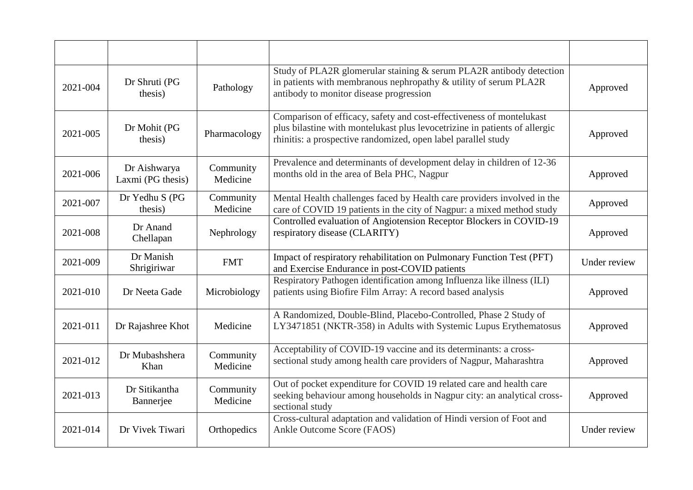| 2021-004 | Dr Shruti (PG<br>thesis)          | Pathology             | Study of PLA2R glomerular staining & serum PLA2R antibody detection<br>in patients with membranous nephropathy & utility of serum PLA2R<br>antibody to monitor disease progression                                  | Approved     |
|----------|-----------------------------------|-----------------------|---------------------------------------------------------------------------------------------------------------------------------------------------------------------------------------------------------------------|--------------|
| 2021-005 | Dr Mohit (PG<br>thesis)           | Pharmacology          | Comparison of efficacy, safety and cost-effectiveness of montelukast<br>plus bilastine with montelukast plus levocetrizine in patients of allergic<br>rhinitis: a prospective randomized, open label parallel study | Approved     |
| 2021-006 | Dr Aishwarya<br>Laxmi (PG thesis) | Community<br>Medicine | Prevalence and determinants of development delay in children of 12-36<br>months old in the area of Bela PHC, Nagpur                                                                                                 | Approved     |
| 2021-007 | Dr Yedhu S (PG<br>thesis)         | Community<br>Medicine | Mental Health challenges faced by Health care providers involved in the<br>care of COVID 19 patients in the city of Nagpur: a mixed method study                                                                    | Approved     |
| 2021-008 | Dr Anand<br>Chellapan             | Nephrology            | Controlled evaluation of Angiotension Receptor Blockers in COVID-19<br>respiratory disease (CLARITY)                                                                                                                | Approved     |
| 2021-009 | Dr Manish<br>Shrigiriwar          | <b>FMT</b>            | Impact of respiratory rehabilitation on Pulmonary Function Test (PFT)<br>and Exercise Endurance in post-COVID patients                                                                                              | Under review |
| 2021-010 | Dr Neeta Gade                     | Microbiology          | Respiratory Pathogen identification among Influenza like illness (ILI)<br>patients using Biofire Film Array: A record based analysis                                                                                | Approved     |
| 2021-011 | Dr Rajashree Khot                 | Medicine              | A Randomized, Double-Blind, Placebo-Controlled, Phase 2 Study of<br>LY3471851 (NKTR-358) in Adults with Systemic Lupus Erythematosus                                                                                | Approved     |
| 2021-012 | Dr Mubashshera<br>Khan            | Community<br>Medicine | Acceptability of COVID-19 vaccine and its determinants: a cross-<br>sectional study among health care providers of Nagpur, Maharashtra                                                                              | Approved     |
| 2021-013 | Dr Sitikantha<br>Bannerjee        | Community<br>Medicine | Out of pocket expenditure for COVID 19 related care and health care<br>seeking behaviour among households in Nagpur city: an analytical cross-<br>sectional study                                                   | Approved     |
| 2021-014 | Dr Vivek Tiwari                   | Orthopedics           | Cross-cultural adaptation and validation of Hindi version of Foot and<br>Ankle Outcome Score (FAOS)                                                                                                                 | Under review |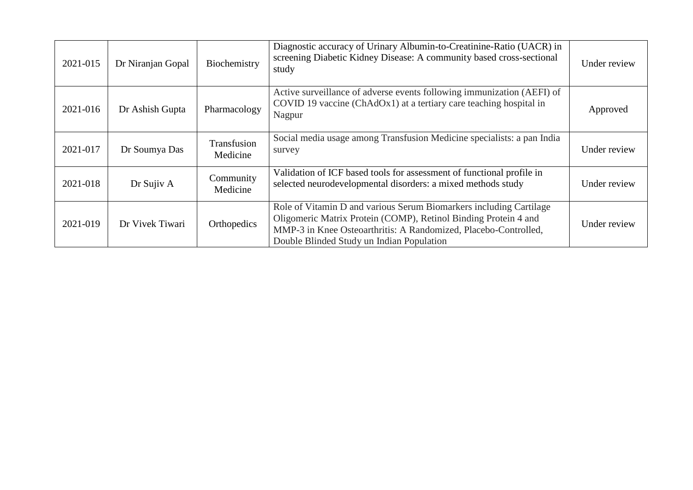| 2021-015 | Dr Niranjan Gopal | Biochemistry            | Diagnostic accuracy of Urinary Albumin-to-Creatinine-Ratio (UACR) in<br>screening Diabetic Kidney Disease: A community based cross-sectional<br>study                                                                                                 | Under review |
|----------|-------------------|-------------------------|-------------------------------------------------------------------------------------------------------------------------------------------------------------------------------------------------------------------------------------------------------|--------------|
| 2021-016 | Dr Ashish Gupta   | Pharmacology            | Active surveillance of adverse events following immunization (AEFI) of<br>COVID 19 vaccine (ChAdOx1) at a tertiary care teaching hospital in<br>Nagpur                                                                                                | Approved     |
| 2021-017 | Dr Soumya Das     | Transfusion<br>Medicine | Social media usage among Transfusion Medicine specialists: a pan India<br>survey                                                                                                                                                                      | Under review |
| 2021-018 | Dr Sujiv A        | Community<br>Medicine   | Validation of ICF based tools for assessment of functional profile in<br>selected neurodevelopmental disorders: a mixed methods study                                                                                                                 | Under review |
| 2021-019 | Dr Vivek Tiwari   | Orthopedics             | Role of Vitamin D and various Serum Biomarkers including Cartilage<br>Oligomeric Matrix Protein (COMP), Retinol Binding Protein 4 and<br>MMP-3 in Knee Osteoarthritis: A Randomized, Placebo-Controlled,<br>Double Blinded Study un Indian Population | Under review |